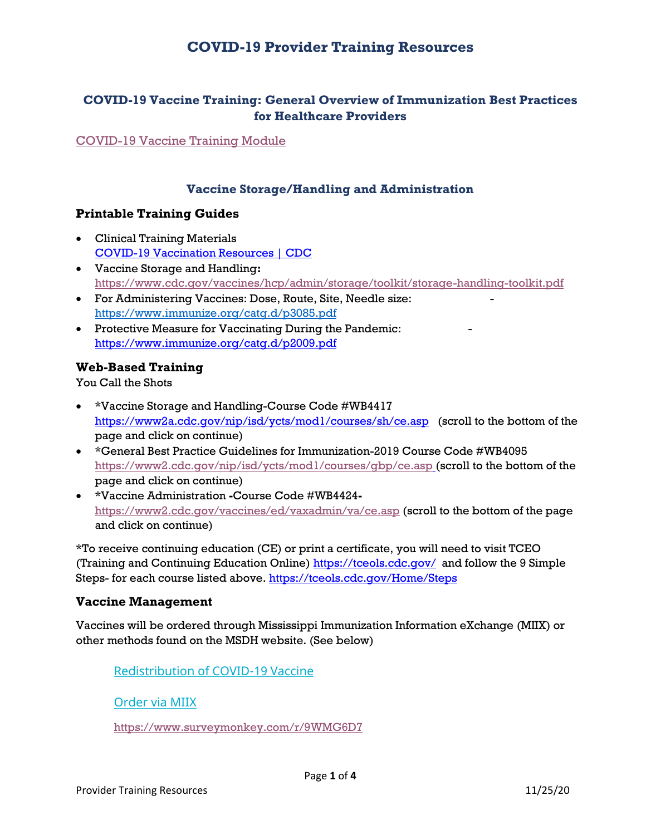# **COVID-19 Provider Training Resources**

## **COVID-19 Vaccine Training: General Overview of Immunization Best Practices for Healthcare Providers**

[COVID-19 Vaccine Training Module](https://www2.cdc.gov/vaccines/ed/covid19/)

## **Vaccine Storage/Handling and Administration**

### **Printable Training Guides**

- Clinical Training Materials [COVID-19 Vaccination Resources | CDC](https://www.cdc.gov/vaccines/covid-19/vaccination-resources.html)
- Vaccine Storage and Handling**:** <https://www.cdc.gov/vaccines/hcp/admin/storage/toolkit/storage-handling-toolkit.pdf>
- For Administering Vaccines: Dose, Route, Site, Needle size: <https://www.immunize.org/catg.d/p3085.pdf>
- Protective Measure for Vaccinating During the Pandemic: <https://www.immunize.org/catg.d/p2009.pdf>

### **Web-Based Training**

You Call the Shots

- \*Vaccine Storage and Handling-Course Code #WB4417 <https://www2a.cdc.gov/nip/isd/ycts/mod1/courses/sh/ce.asp>(scroll to the bottom of the page and click on continue)
- \*General Best Practice Guidelines for Immunization-2019 Course Code #WB4095 <https://www2.cdc.gov/nip/isd/ycts/mod1/courses/gbp/ce.asp> (scroll to the bottom of the page and click on continue)
- \*Vaccine Administration **-**Course Code #WB4424 <https://www2.cdc.gov/vaccines/ed/vaxadmin/va/ce.asp> (scroll to the bottom of the page and click on continue)

\*To receive continuing education (CE) or print a certificate, you will need to visit TCEO (Training and Continuing Education Online)<https://tceols.cdc.gov/>and follow the 9 Simple Steps- for each course listed above.<https://tceols.cdc.gov/Home/Steps>

### **Vaccine Management**

Vaccines will be ordered through Mississippi Immunization Information eXchange (MIIX) or other methods found on the MSDH website. (See below)

[Redistribution of COVID-19 Vaccine](https://app.smartsheet.com/b/publish?EQBCT=ba133d4b66fc42cfb12f7b12624045a6)

[Order via MIIX](https://miixhealthyms.org/siis/)

<https://www.surveymonkey.com/r/9WMG6D7>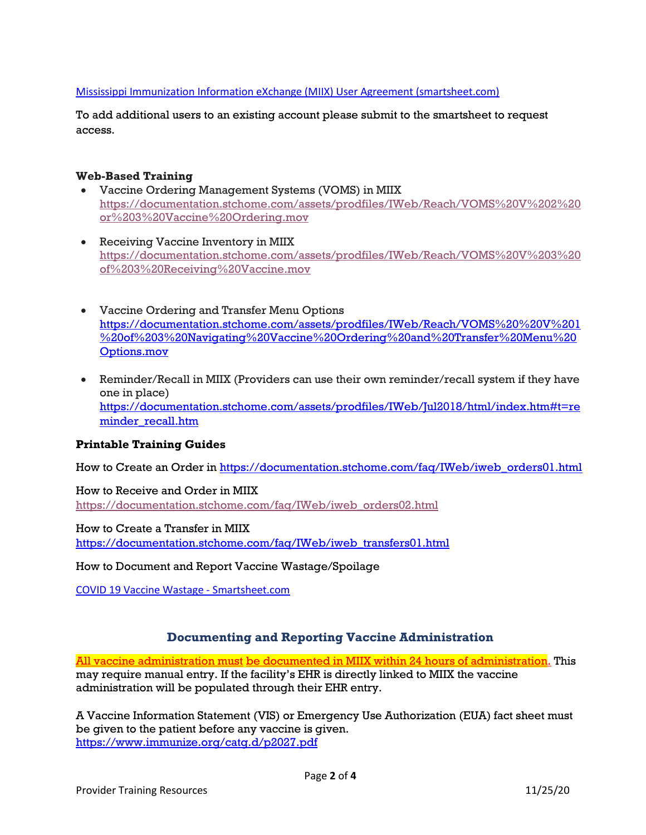#### [Mississippi Immunization Information eXchange \(MIIX\) User Agreement \(smartsheet.com\)](https://app.smartsheet.com/b/form/2d0848eb322543c28667db62fee4ca2f)

To add additional users to an existing account please submit to the smartsheet to request access.

#### **Web-Based Training**

- Vaccine Ordering Management Systems (VOMS) in MIIX [https://documentation.stchome.com/assets/prodfiles/IWeb/Reach/VOMS%20V%202%20](https://documentation.stchome.com/assets/prodfiles/IWeb/Reach/VOMS%20V%202%20or%203%20Vaccine%20Ordering.mov) [or%203%20Vaccine%20Ordering.mov](https://documentation.stchome.com/assets/prodfiles/IWeb/Reach/VOMS%20V%202%20or%203%20Vaccine%20Ordering.mov)
- Receiving Vaccine Inventory in MIIX [https://documentation.stchome.com/assets/prodfiles/IWeb/Reach/VOMS%20V%203%20](https://documentation.stchome.com/assets/prodfiles/IWeb/Reach/VOMS%20V%203%20of%203%20Receiving%20Vaccine.mov) [of%203%20Receiving%20Vaccine.mov](https://documentation.stchome.com/assets/prodfiles/IWeb/Reach/VOMS%20V%203%20of%203%20Receiving%20Vaccine.mov)
- Vaccine Ordering and Transfer Menu Options [https://documentation.stchome.com/assets/prodfiles/IWeb/Reach/VOMS%20%20V%201](https://documentation.stchome.com/assets/prodfiles/IWeb/Reach/VOMS%20%20V%201%20of%203%20Navigating%20Vaccine%20Ordering%20and%20Transfer%20Menu%20Options.mov) [%20of%203%20Navigating%20Vaccine%20Ordering%20and%20Transfer%20Menu%20](https://documentation.stchome.com/assets/prodfiles/IWeb/Reach/VOMS%20%20V%201%20of%203%20Navigating%20Vaccine%20Ordering%20and%20Transfer%20Menu%20Options.mov) [Options.mov](https://documentation.stchome.com/assets/prodfiles/IWeb/Reach/VOMS%20%20V%201%20of%203%20Navigating%20Vaccine%20Ordering%20and%20Transfer%20Menu%20Options.mov)
- Reminder/Recall in MIIX (Providers can use their own reminder/recall system if they have one in place) [https://documentation.stchome.com/assets/prodfiles/IWeb/Jul2018/html/index.htm#t=re](https://documentation.stchome.com/assets/prodfiles/IWeb/Jul2018/html/index.htm#t=reminder_recall.htm) minder recall.htm

#### **Printable Training Guides**

How to Create an Order in [https://documentation.stchome.com/faq/IWeb/iweb\\_orders01.html](https://documentation.stchome.com/faq/IWeb/iweb_orders01.html) 

How to Receive and Order in MIIX [https://documentation.stchome.com/faq/IWeb/iweb\\_orders02.html](https://documentation.stchome.com/faq/IWeb/iweb_orders02.html) 

How to Create a Transfer in MIIX [https://documentation.stchome.com/faq/IWeb/iweb\\_transfers01.html](https://documentation.stchome.com/faq/IWeb/iweb_transfers01.html)

How to Document and Report Vaccine Wastage/Spoilage

COVID 19 Vaccine Wastage - [Smartsheet.com](https://gcc02.safelinks.protection.outlook.com/?url=https%3A%2F%2Fapp.smartsheet.com%2Fb%2Fpublish%3FEQBCT%3Dec2d9263d4934dfbba073aa163559560&data=04%7C01%7CJessica.Weeks%40msdh.ms.gov%7Cd2e56b010ee54fa5753508d989a0c9f6%7C559042dc8bf04d869fc0fbf4c7503c79%7C0%7C0%7C637692145934744812%7CUnknown%7CTWFpbGZsb3d8eyJWIjoiMC4wLjAwMDAiLCJQIjoiV2luMzIiLCJBTiI6Ik1haWwiLCJXVCI6Mn0%3D%7C1000&sdata=m4p9AwyA2iVX3Xl9aVaf33%2FcijYgk1%2BgTHzxtlO7LgM%3D&reserved=0)

#### **Documenting and Reporting Vaccine Administration**

All vaccine administration must be documented in MIIX within 24 hours of administration. This may require manual entry. If the facility's EHR is directly linked to MIIX the vaccine administration will be populated through their EHR entry.

A Vaccine Information Statement (VIS) or Emergency Use Authorization (EUA) fact sheet must be given to the patient before any vaccine is given. <https://www.immunize.org/catg.d/p2027.pdf>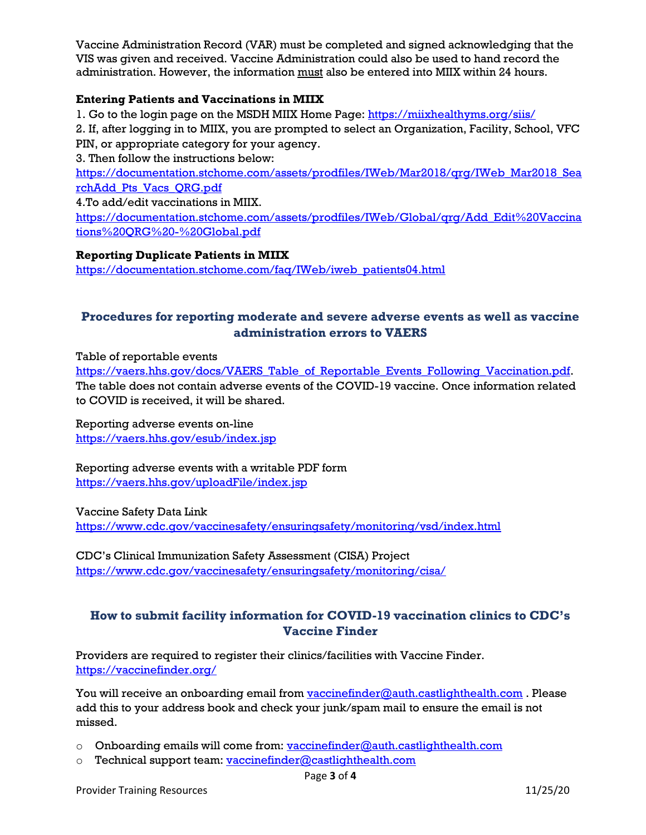Vaccine Administration Record (VAR) must be completed and signed acknowledging that the VIS was given and received. Vaccine Administration could also be used to hand record the administration. However, the information must also be entered into MIIX within 24 hours.

#### **Entering Patients and Vaccinations in MIIX**

1. Go to the login page on the MSDH MIIX Home Page[: https://miixhealthyms.org/siis/](https://miixhealthyms.org/siis/) 

2. If, after logging in to MIIX, you are prompted to select an Organization, Facility, School, VFC PIN, or appropriate category for your agency.

3. Then follow the instructions below:

[https://documentation.stchome.com/assets/prodfiles/IWeb/Mar2018/qrg/IWeb\\_Mar2018\\_Sea](https://documentation.stchome.com/assets/prodfiles/IWeb/Mar2018/qrg/IWeb_Mar2018_SearchAdd_Pts_Vacs_QRG.pdf) [rchAdd\\_Pts\\_Vacs\\_QRG.pdf](https://documentation.stchome.com/assets/prodfiles/IWeb/Mar2018/qrg/IWeb_Mar2018_SearchAdd_Pts_Vacs_QRG.pdf)

4.To add/edit vaccinations in MIIX.

[https://documentation.stchome.com/assets/prodfiles/IWeb/Global/qrg/Add\\_Edit%20Vaccina](https://documentation.stchome.com/assets/prodfiles/IWeb/Global/qrg/Add_Edit%20Vaccinations%20QRG%20-%20Global.pdf) [tions%20QRG%20-%20Global.pdf](https://documentation.stchome.com/assets/prodfiles/IWeb/Global/qrg/Add_Edit%20Vaccinations%20QRG%20-%20Global.pdf)

#### **Reporting Duplicate Patients in MIIX**

[https://documentation.stchome.com/faq/IWeb/iweb\\_patients04.html](https://documentation.stchome.com/faq/IWeb/iweb_patients04.html) 

## **Procedures for reporting moderate and severe adverse events as well as vaccine administration errors to VAERS**

Table of reportable events

[https://vaers.hhs.gov/docs/VAERS\\_Table\\_of\\_Reportable\\_Events\\_Following\\_Vaccination.pdf.](https://vaers.hhs.gov/docs/VAERS_Table_of_Reportable_Events_Following_Vaccination.pdf) The table does not contain adverse events of the COVID-19 vaccine. Once information related to COVID is received, it will be shared.

Reporting adverse events on-line <https://vaers.hhs.gov/esub/index.jsp>

Reporting adverse events with a writable PDF form <https://vaers.hhs.gov/uploadFile/index.jsp>

Vaccine Safety Data Link

<https://www.cdc.gov/vaccinesafety/ensuringsafety/monitoring/vsd/index.html>

CDC's Clinical Immunization Safety Assessment (CISA) Project <https://www.cdc.gov/vaccinesafety/ensuringsafety/monitoring/cisa/>

## **How to submit facility information for COVID-19 vaccination clinics to CDC's Vaccine Finder**

Providers are required to register their clinics/facilities with Vaccine Finder. <https://vaccinefinder.org/>

You will receive an onboarding email from [vaccinefinder@auth.castlighthealth.com](mailto:vaccinefinder@auth.castlighthealth.com). Please add this to your address book and check your junk/spam mail to ensure the email is not missed.

- o Onboarding emails will come from: [vaccinefinder@auth.castlighthealth.com](mailto:vaccinefinder@auth.castlighthealth.com)
- o Technical support team: [vaccinefinder@castlighthealth.com](mailto:vaccinefinder@castlighthealth.com)